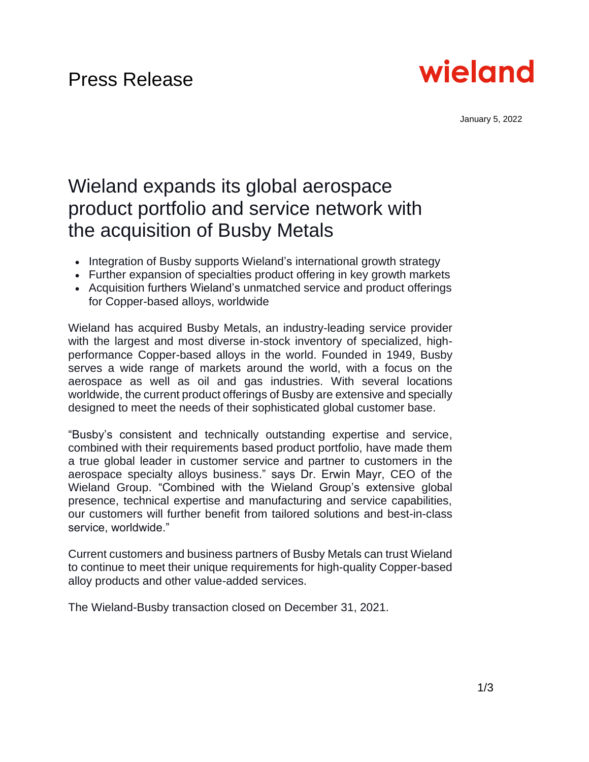

January 5, 2022

# Wieland expands its global aerospace product portfolio and service network with the acquisition of Busby Metals

- Integration of Busby supports Wieland's international growth strategy
- Further expansion of specialties product offering in key growth markets
- Acquisition furthers Wieland's unmatched service and product offerings for Copper-based alloys, worldwide

Wieland has acquired Busby Metals, an industry-leading service provider with the largest and most diverse in-stock inventory of specialized, highperformance Copper-based alloys in the world. Founded in 1949, Busby serves a wide range of markets around the world, with a focus on the aerospace as well as oil and gas industries. With several locations worldwide, the current product offerings of Busby are extensive and specially designed to meet the needs of their sophisticated global customer base.

"Busby's consistent and technically outstanding expertise and service, combined with their requirements based product portfolio, have made them a true global leader in customer service and partner to customers in the aerospace specialty alloys business." says Dr. Erwin Mayr, CEO of the Wieland Group. "Combined with the Wieland Group's extensive global presence, technical expertise and manufacturing and service capabilities, our customers will further benefit from tailored solutions and best-in-class service, worldwide."

Current customers and business partners of Busby Metals can trust Wieland to continue to meet their unique requirements for high-quality Copper-based alloy products and other value-added services.

The Wieland-Busby transaction closed on December 31, 2021.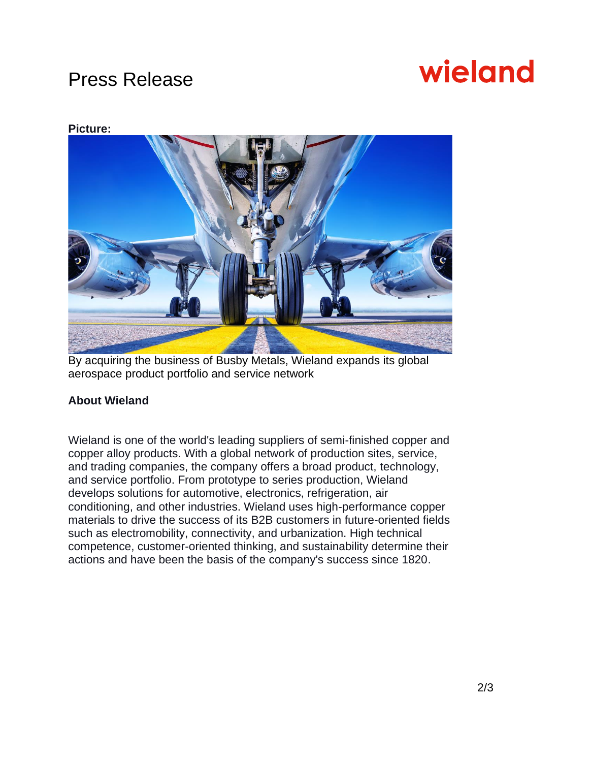## Press Release

# wieland

### **Picture:**



By acquiring the business of Busby Metals, Wieland expands its global aerospace product portfolio and service network

### **About Wieland**

Wieland is one of the world's leading suppliers of semi-finished copper and copper alloy products. With a global network of production sites, service, and trading companies, the company offers a broad product, technology, and service portfolio. From prototype to series production, Wieland develops solutions for automotive, electronics, refrigeration, air conditioning, and other industries. Wieland uses high-performance copper materials to drive the success of its B2B customers in future-oriented fields such as electromobility, connectivity, and urbanization. High technical competence, customer-oriented thinking, and sustainability determine their actions and have been the basis of the company's success since 1820.